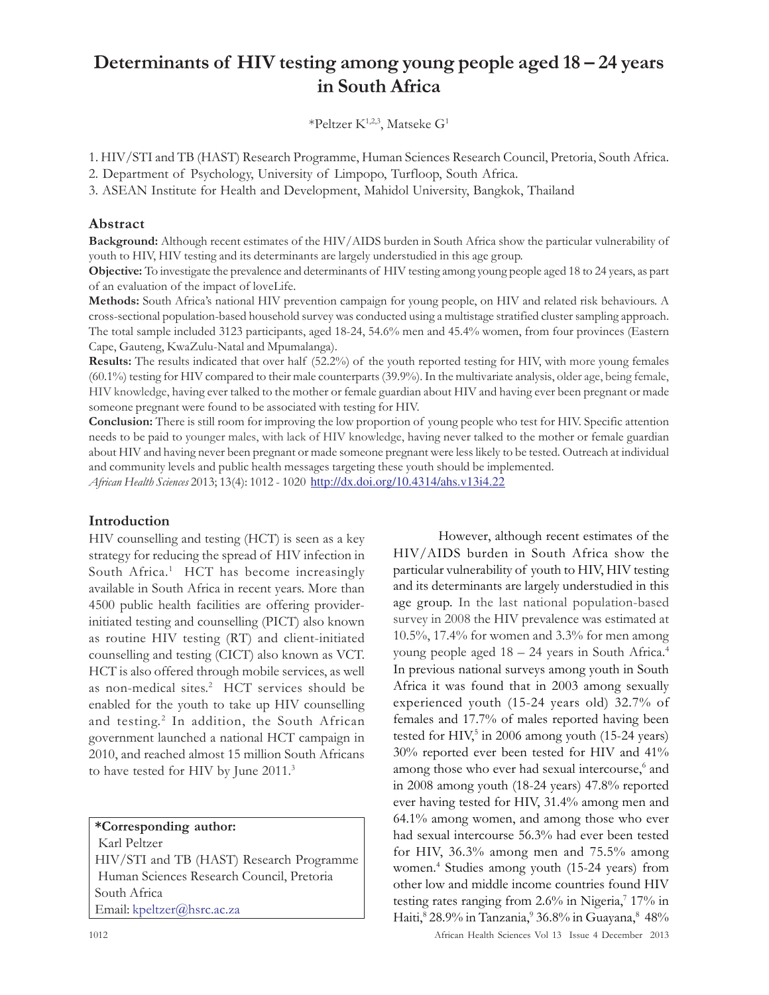# Determinants of HIV testing among young people aged 18 – 24 years in South Africa

\*Peltzer  $K^{1,2,3}$ , Matseke  $G^1$ 

1. HIV/STI and TB (HAST) Research Programme, Human Sciences Research Council, Pretoria, South Africa.

2. Department of Psychology, University of Limpopo, Turfloop, South Africa.

3. ASEAN Institute for Health and Development, Mahidol University, Bangkok, Thailand

#### Abstract

Background: Although recent estimates of the HIV/AIDS burden in South Africa show the particular vulnerability of youth to HIV, HIV testing and its determinants are largely understudied in this age group.

Objective: To investigate the prevalence and determinants of HIV testing among young people aged 18 to 24 years, as part of an evaluation of the impact of loveLife.

Methods: South Africa's national HIV prevention campaign for young people, on HIV and related risk behaviours. A cross-sectional population-based household survey was conducted using a multistage stratified cluster sampling approach. The total sample included 3123 participants, aged 18-24, 54.6% men and 45.4% women, from four provinces (Eastern Cape, Gauteng, KwaZulu-Natal and Mpumalanga).

Results: The results indicated that over half (52.2%) of the youth reported testing for HIV, with more young females (60.1%) testing for HIV compared to their male counterparts (39.9%). In the multivariate analysis, older age, being female, HIV knowledge, having ever talked to the mother or female guardian about HIV and having ever been pregnant or made someone pregnant were found to be associated with testing for HIV.

Conclusion: There is still room for improving the low proportion of young people who test for HIV. Specific attention needs to be paid to younger males, with lack of HIV knowledge, having never talked to the mother or female guardian about HIV and having never been pregnant or made someone pregnant were less likely to be tested. Outreach at individual and community levels and public health messages targeting these youth should be implemented.

African Health Sciences 2013; 13(4): 1012 - 1020 http://dx.doi.org/10.4314/ahs.v13i4.22

## Introduction

HIV counselling and testing (HCT) is seen as a key strategy for reducing the spread of HIV infection in South Africa.<sup>1</sup> HCT has become increasingly available in South Africa in recent years. More than 4500 public health facilities are offering providerinitiated testing and counselling (PICT) also known as routine HIV testing (RT) and client-initiated counselling and testing (CICT) also known as VCT. HCT is also offered through mobile services, as well as non-medical sites. 2 HCT services should be enabled for the youth to take up HIV counselling and testing. 2 In addition, the South African government launched a national HCT campaign in 2010, and reached almost 15 million South Africans to have tested for HIV by June 2011.<sup>3</sup>

#### \*Corresponding author:

 Karl Peltzer HIV/STI and TB (HAST) Research Programme Human Sciences Research Council, Pretoria South Africa Email: kpeltzer@hsrc.ac.za

However, although recent estimates of the HIV/AIDS burden in South Africa show the particular vulnerability of youth to HIV, HIV testing and its determinants are largely understudied in this age group. In the last national population-based survey in 2008 the HIV prevalence was estimated at 10.5%, 17.4% for women and 3.3% for men among young people aged  $18 - 24$  years in South Africa.<sup>4</sup> In previous national surveys among youth in South Africa it was found that in 2003 among sexually experienced youth (15-24 years old) 32.7% of females and 17.7% of males reported having been tested for HIV,<sup>5</sup> in 2006 among youth (15-24 years) 30% reported ever been tested for HIV and 41% among those who ever had sexual intercourse,<sup>6</sup> and in 2008 among youth (18-24 years) 47.8% reported ever having tested for HIV, 31.4% among men and 64.1% among women, and among those who ever had sexual intercourse 56.3% had ever been tested for HIV, 36.3% among men and 75.5% among women.<sup>4</sup> Studies among youth (15-24 years) from other low and middle income countries found HIV testing rates ranging from 2.6% in Nigeria,<sup>7</sup> 17% in Haiti,<sup>8</sup> 28.9% in Tanzania,<sup>9</sup> 36.8% in Guayana,<sup>8</sup> 48%

1012 African Health Sciences Vol 13 Issue 4 December 2013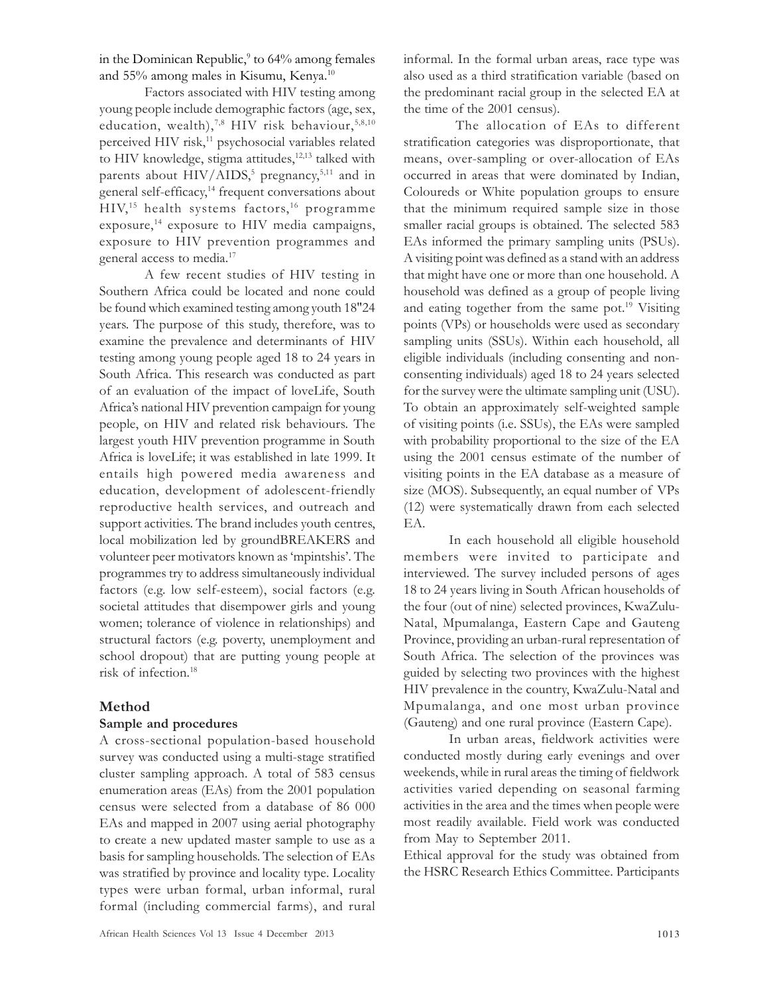in the Dominican Republic,<sup>9</sup> to 64% among females and 55% among males in Kisumu, Kenya.<sup>10</sup>

Factors associated with HIV testing among young people include demographic factors (age, sex, education, wealth),<sup>7,8</sup> HIV risk behaviour,<sup>5,8,10</sup> perceived HIV risk,<sup>11</sup> psychosocial variables related to HIV knowledge, stigma attitudes,<sup>12,13</sup> talked with parents about HIV/AIDS,<sup>5</sup> pregnancy,<sup>5,11</sup> and in general self-efficacy,<sup>14</sup> frequent conversations about HIV, <sup>15</sup> health systems factors,<sup>16</sup> programme exposure,<sup>14</sup> exposure to HIV media campaigns, exposure to HIV prevention programmes and general access to media.<sup>17</sup>

A few recent studies of HIV testing in Southern Africa could be located and none could be found which examined testing among youth 18"24 years. The purpose of this study, therefore, was to examine the prevalence and determinants of HIV testing among young people aged 18 to 24 years in South Africa. This research was conducted as part of an evaluation of the impact of loveLife, South Africa's national HIV prevention campaign for young people, on HIV and related risk behaviours. The largest youth HIV prevention programme in South Africa is loveLife; it was established in late 1999. It entails high powered media awareness and education, development of adolescent-friendly reproductive health services, and outreach and support activities. The brand includes youth centres, local mobilization led by groundBREAKERS and volunteer peer motivators known as 'mpintshis'. The programmes try to address simultaneously individual factors (e.g. low self-esteem), social factors (e.g. societal attitudes that disempower girls and young women; tolerance of violence in relationships) and structural factors (e.g. poverty, unemployment and school dropout) that are putting young people at risk of infection.<sup>18</sup>

## Method

#### Sample and procedures

A cross-sectional population-based household survey was conducted using a multi-stage stratified cluster sampling approach. A total of 583 census enumeration areas (EAs) from the 2001 population census were selected from a database of 86 000 EAs and mapped in 2007 using aerial photography to create a new updated master sample to use as a basis for sampling households. The selection of EAs was stratified by province and locality type. Locality types were urban formal, urban informal, rural formal (including commercial farms), and rural informal. In the formal urban areas, race type was also used as a third stratification variable (based on the predominant racial group in the selected EA at the time of the 2001 census).

 The allocation of EAs to different stratification categories was disproportionate, that means, over-sampling or over-allocation of EAs occurred in areas that were dominated by Indian, Coloureds or White population groups to ensure that the minimum required sample size in those smaller racial groups is obtained. The selected 583 EAs informed the primary sampling units (PSUs). A visiting point was defined as a stand with an address that might have one or more than one household. A household was defined as a group of people living and eating together from the same pot.<sup>19</sup> Visiting points (VPs) or households were used as secondary sampling units (SSUs). Within each household, all eligible individuals (including consenting and nonconsenting individuals) aged 18 to 24 years selected for the survey were the ultimate sampling unit (USU). To obtain an approximately self-weighted sample of visiting points (i.e. SSUs), the EAs were sampled with probability proportional to the size of the EA using the 2001 census estimate of the number of visiting points in the EA database as a measure of size (MOS). Subsequently, an equal number of VPs (12) were systematically drawn from each selected EA.

In each household all eligible household members were invited to participate and interviewed. The survey included persons of ages 18 to 24 years living in South African households of the four (out of nine) selected provinces, KwaZulu-Natal, Mpumalanga, Eastern Cape and Gauteng Province, providing an urban-rural representation of South Africa. The selection of the provinces was guided by selecting two provinces with the highest HIV prevalence in the country, KwaZulu-Natal and Mpumalanga, and one most urban province (Gauteng) and one rural province (Eastern Cape).

In urban areas, fieldwork activities were conducted mostly during early evenings and over weekends, while in rural areas the timing of fieldwork activities varied depending on seasonal farming activities in the area and the times when people were most readily available. Field work was conducted from May to September 2011.

Ethical approval for the study was obtained from the HSRC Research Ethics Committee. Participants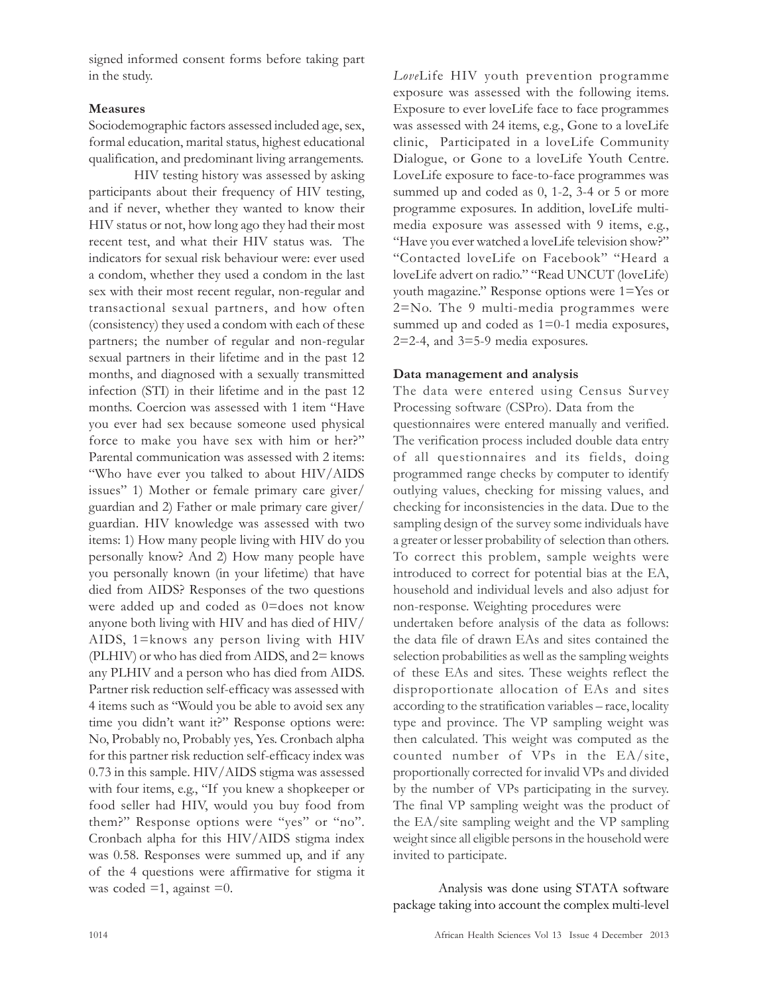signed informed consent forms before taking part in the study.

#### Measures

Sociodemographic factors assessed included age, sex, formal education, marital status, highest educational qualification, and predominant living arrangements.

HIV testing history was assessed by asking participants about their frequency of HIV testing, and if never, whether they wanted to know their HIV status or not, how long ago they had their most recent test, and what their HIV status was. The indicators for sexual risk behaviour were: ever used a condom, whether they used a condom in the last sex with their most recent regular, non-regular and transactional sexual partners, and how often (consistency) they used a condom with each of these partners; the number of regular and non-regular sexual partners in their lifetime and in the past 12 months, and diagnosed with a sexually transmitted infection (STI) in their lifetime and in the past 12 months. Coercion was assessed with 1 item "Have you ever had sex because someone used physical force to make you have sex with him or her?" Parental communication was assessed with 2 items: "Who have ever you talked to about HIV/AIDS issues" 1) Mother or female primary care giver/ guardian and 2) Father or male primary care giver/ guardian. HIV knowledge was assessed with two items: 1) How many people living with HIV do you personally know? And 2) How many people have you personally known (in your lifetime) that have died from AIDS? Responses of the two questions were added up and coded as 0=does not know anyone both living with HIV and has died of HIV/ AIDS, 1=knows any person living with HIV (PLHIV) or who has died from AIDS, and 2= knows any PLHIV and a person who has died from AIDS. Partner risk reduction self-efficacy was assessed with 4 items such as "Would you be able to avoid sex any time you didn't want it?" Response options were: No, Probably no, Probably yes, Yes. Cronbach alpha for this partner risk reduction self-efficacy index was 0.73 in this sample. HIV/AIDS stigma was assessed with four items, e.g., "If you knew a shopkeeper or food seller had HIV, would you buy food from them?" Response options were "yes" or "no". Cronbach alpha for this HIV/AIDS stigma index was 0.58. Responses were summed up, and if any of the 4 questions were affirmative for stigma it was coded  $=1$ , against  $=0$ .

LoveLife HIV youth prevention programme exposure was assessed with the following items. Exposure to ever loveLife face to face programmes was assessed with 24 items, e.g., Gone to a loveLife clinic, Participated in a loveLife Community Dialogue, or Gone to a loveLife Youth Centre. LoveLife exposure to face-to-face programmes was summed up and coded as 0, 1-2, 3-4 or 5 or more programme exposures. In addition, loveLife multimedia exposure was assessed with 9 items, e.g., "Have you ever watched a loveLife television show?" "Contacted loveLife on Facebook" "Heard a loveLife advert on radio." "Read UNCUT (loveLife) youth magazine." Response options were 1=Yes or 2=No. The 9 multi-media programmes were summed up and coded as 1=0-1 media exposures,  $2=2-4$ , and  $3=5-9$  media exposures.

#### Data management and analysis

The data were entered using Census Survey Processing software (CSPro). Data from the questionnaires were entered manually and verified. The verification process included double data entry of all questionnaires and its fields, doing programmed range checks by computer to identify outlying values, checking for missing values, and checking for inconsistencies in the data. Due to the sampling design of the survey some individuals have a greater or lesser probability of selection than others. To correct this problem, sample weights were introduced to correct for potential bias at the EA, household and individual levels and also adjust for non-response. Weighting procedures were undertaken before analysis of the data as follows: the data file of drawn EAs and sites contained the selection probabilities as well as the sampling weights of these EAs and sites. These weights reflect the disproportionate allocation of EAs and sites according to the stratification variables – race, locality type and province. The VP sampling weight was

then calculated. This weight was computed as the counted number of VPs in the EA/site, proportionally corrected for invalid VPs and divided by the number of VPs participating in the survey. The final VP sampling weight was the product of the EA/site sampling weight and the VP sampling weight since all eligible persons in the household were invited to participate.

Analysis was done using STATA software package taking into account the complex multi-level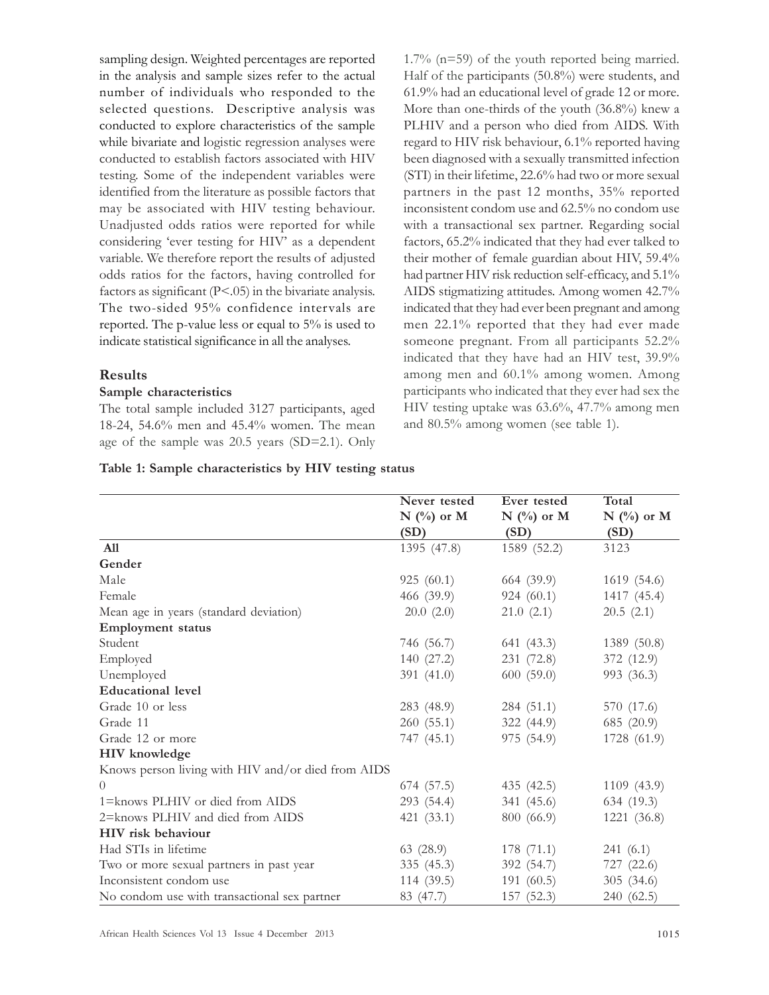sampling design. Weighted percentages are reported in the analysis and sample sizes refer to the actual number of individuals who responded to the selected questions. Descriptive analysis was conducted to explore characteristics of the sample while bivariate and logistic regression analyses were conducted to establish factors associated with HIV testing. Some of the independent variables were identified from the literature as possible factors that may be associated with HIV testing behaviour. Unadjusted odds ratios were reported for while considering 'ever testing for HIV' as a dependent variable. We therefore report the results of adjusted odds ratios for the factors, having controlled for factors as significant (P<.05) in the bivariate analysis. The two-sided 95% confidence intervals are reported. The p-value less or equal to 5% is used to indicate statistical significance in all the analyses.

#### Results

#### Sample characteristics

The total sample included 3127 participants, aged 18-24, 54.6% men and 45.4% women. The mean age of the sample was 20.5 years (SD=2.1). Only 1.7% (n=59) of the youth reported being married. Half of the participants (50.8%) were students, and 61.9% had an educational level of grade 12 or more. More than one-thirds of the youth (36.8%) knew a PLHIV and a person who died from AIDS. With regard to HIV risk behaviour, 6.1% reported having been diagnosed with a sexually transmitted infection (STI) in their lifetime, 22.6% had two or more sexual partners in the past 12 months, 35% reported inconsistent condom use and 62.5% no condom use with a transactional sex partner. Regarding social factors, 65.2% indicated that they had ever talked to their mother of female guardian about HIV, 59.4% had partner HIV risk reduction self-efficacy, and 5.1% AIDS stigmatizing attitudes. Among women 42.7% indicated that they had ever been pregnant and among men 22.1% reported that they had ever made someone pregnant. From all participants 52.2% indicated that they have had an HIV test, 39.9% among men and 60.1% among women. Among participants who indicated that they ever had sex the HIV testing uptake was 63.6%, 47.7% among men and 80.5% among women (see table 1).

#### Table 1: Sample characteristics by HIV testing status

|                                                    | Never tested | Ever tested  | Total        |
|----------------------------------------------------|--------------|--------------|--------------|
|                                                    | $N$ (%) or M | $N$ (%) or M | $N$ (%) or M |
|                                                    | (SD)         | (SD)         | (SD)         |
| All                                                | 1395 (47.8)  | 1589 (52.2)  | 3123         |
| Gender                                             |              |              |              |
| Male                                               | 925(60.1)    | 664 (39.9)   | 1619 (54.6)  |
| Female                                             | 466 (39.9)   | 924(60.1)    | 1417 (45.4)  |
| Mean age in years (standard deviation)             | 20.0(2.0)    | 21.0(2.1)    | 20.5(2.1)    |
| <b>Employment status</b>                           |              |              |              |
| Student                                            | 746 (56.7)   | 641 (43.3)   | 1389 (50.8)  |
| Employed                                           | 140 (27.2)   | 231 (72.8)   | 372 (12.9)   |
| Unemployed                                         | 391 $(41.0)$ | 600(59.0)    | 993 (36.3)   |
| <b>Educational level</b>                           |              |              |              |
| Grade 10 or less                                   | 283 (48.9)   | 284(51.1)    | 570 (17.6)   |
| Grade 11                                           | 260(55.1)    | 322(44.9)    | 685 (20.9)   |
| Grade 12 or more                                   | 747 (45.1)   | 975 (54.9)   | 1728 (61.9)  |
| <b>HIV</b> knowledge                               |              |              |              |
| Knows person living with HIV and/or died from AIDS |              |              |              |
| $\theta$                                           | 674 (57.5)   | 435 (42.5)   | 1109 (43.9)  |
| 1=knows PLHIV or died from AIDS                    | 293 (54.4)   | 341 (45.6)   | 634(19.3)    |
| 2=knows PLHIV and died from AIDS                   | 421(33.1)    | 800 (66.9)   | 1221 (36.8)  |
| <b>HIV</b> risk behaviour                          |              |              |              |
| Had STIs in lifetime                               | 63(28.9)     | 178 (71.1)   | 241(6.1)     |
| Two or more sexual partners in past year           | 335(45.3)    | 392 (54.7)   | 727 (22.6)   |
| Inconsistent condom use                            | 114 (39.5)   | 191(60.5)    | 305(34.6)    |
| No condom use with transactional sex partner       | 83 (47.7)    | 157 (52.3)   | 240 (62.5)   |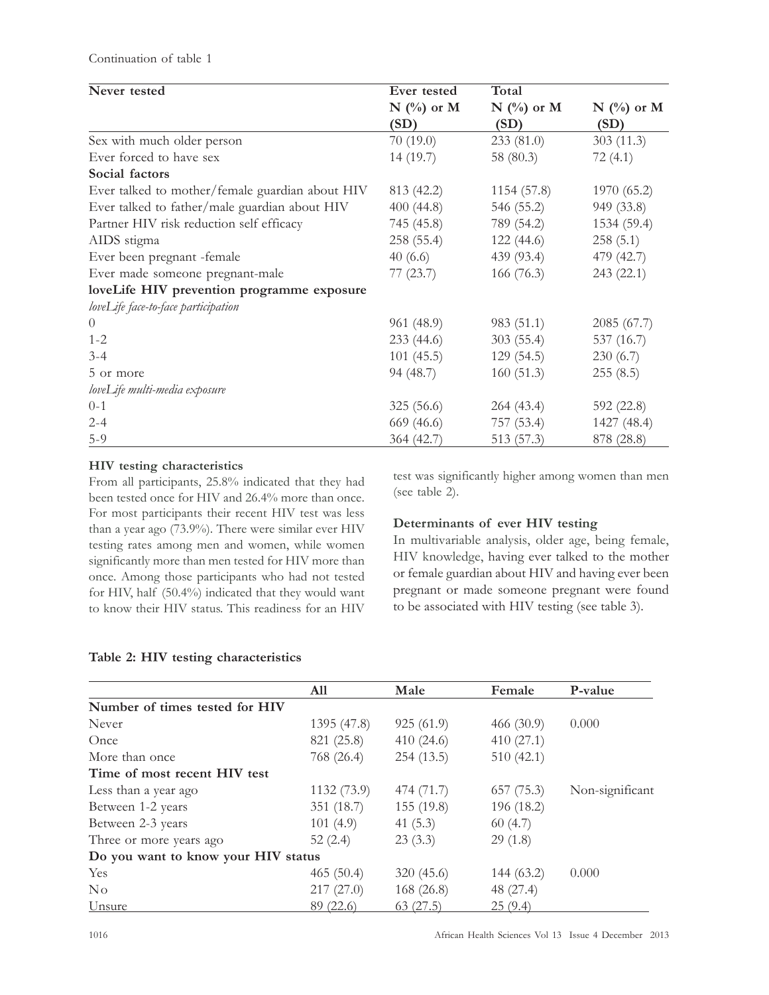Continuation of table 1

| Never tested                                    | Ever tested  | Total        |              |
|-------------------------------------------------|--------------|--------------|--------------|
|                                                 | $N$ (%) or M | $N$ (%) or M | $N$ (%) or M |
|                                                 | (SD)         | (SD)         | (SD)         |
| Sex with much older person                      | 70(19.0)     | 233(81.0)    | 303(11.3)    |
| Ever forced to have sex                         | 14(19.7)     | 58 (80.3)    | 72(4.1)      |
| Social factors                                  |              |              |              |
| Ever talked to mother/female guardian about HIV | 813 (42.2)   | 1154 (57.8)  | 1970 (65.2)  |
| Ever talked to father/male guardian about HIV   | 400 (44.8)   | 546 (55.2)   | 949 (33.8)   |
| Partner HIV risk reduction self efficacy        | 745 (45.8)   | 789 (54.2)   | 1534 (59.4)  |
| AIDS stigma                                     | 258 (55.4)   | 122(44.6)    | 258(5.1)     |
| Ever been pregnant -female                      | 40(6.6)      | 439 (93.4)   | 479 (42.7)   |
| Ever made someone pregnant-male                 | 77(23.7)     | 166(76.3)    | 243 (22.1)   |
| loveLife HIV prevention programme exposure      |              |              |              |
| loveLife face-to-face participation             |              |              |              |
| $\Omega$                                        | 961 (48.9)   | 983(51.1)    | 2085 (67.7)  |
| $1 - 2$                                         | 233(44.6)    | 303(55.4)    | 537 (16.7)   |
| $3 - 4$                                         | 101(45.5)    | 129(54.5)    | 230(6.7)     |
| 5 or more                                       | 94 (48.7)    | 160(51.3)    | 255(8.5)     |
| loveLife multi-media exposure                   |              |              |              |
| $0-1$                                           | 325(56.6)    | 264(43.4)    | 592 (22.8)   |
| $2 - 4$                                         | 669 (46.6)   | 757 (53.4)   | 1427 (48.4)  |
| $5-9$                                           | 364 (42.7)   | 513 (57.3)   | 878 (28.8)   |

## HIV testing characteristics

From all participants, 25.8% indicated that they had been tested once for HIV and 26.4% more than once. For most participants their recent HIV test was less than a year ago (73.9%). There were similar ever HIV testing rates among men and women, while women significantly more than men tested for HIV more than once. Among those participants who had not tested for HIV, half (50.4%) indicated that they would want to know their HIV status. This readiness for an HIV test was significantly higher among women than men (see table 2).

## Determinants of ever HIV testing

In multivariable analysis, older age, being female, HIV knowledge, having ever talked to the mother or female guardian about HIV and having ever been pregnant or made someone pregnant were found to be associated with HIV testing (see table 3).

#### Table 2: HIV testing characteristics

|                                     | All         | Male         | Female       | P-value         |
|-------------------------------------|-------------|--------------|--------------|-----------------|
| Number of times tested for HIV      |             |              |              |                 |
| Never                               | 1395 (47.8) | 925(61.9)    | 466(30.9)    | 0.000           |
| Once                                | 821 (25.8)  | 410 $(24.6)$ | 410 $(27.1)$ |                 |
| More than once                      | 768 (26.4)  | 254(13.5)    | 510(42.1)    |                 |
| Time of most recent HIV test        |             |              |              |                 |
| Less than a year ago                | 1132 (73.9) | 474 (71.7)   | 657(75.3)    | Non-significant |
| Between 1-2 years                   | 351 (18.7)  | 155 (19.8)   | 196 (18.2)   |                 |
| Between 2-3 years                   | 101(4.9)    | 41 $(5.3)$   | 60(4.7)      |                 |
| Three or more years ago             | 52(2.4)     | 23(3.3)      | 29(1.8)      |                 |
| Do you want to know your HIV status |             |              |              |                 |
| Yes                                 | 465(50.4)   | 320(45.6)    | 144 (63.2)   | 0.000           |
| No                                  | 217(27.0)   | 168 (26.8)   | 48 (27.4)    |                 |
| Unsure                              | 89 (22.6)   | 63(27.5)     | 25(9.4)      |                 |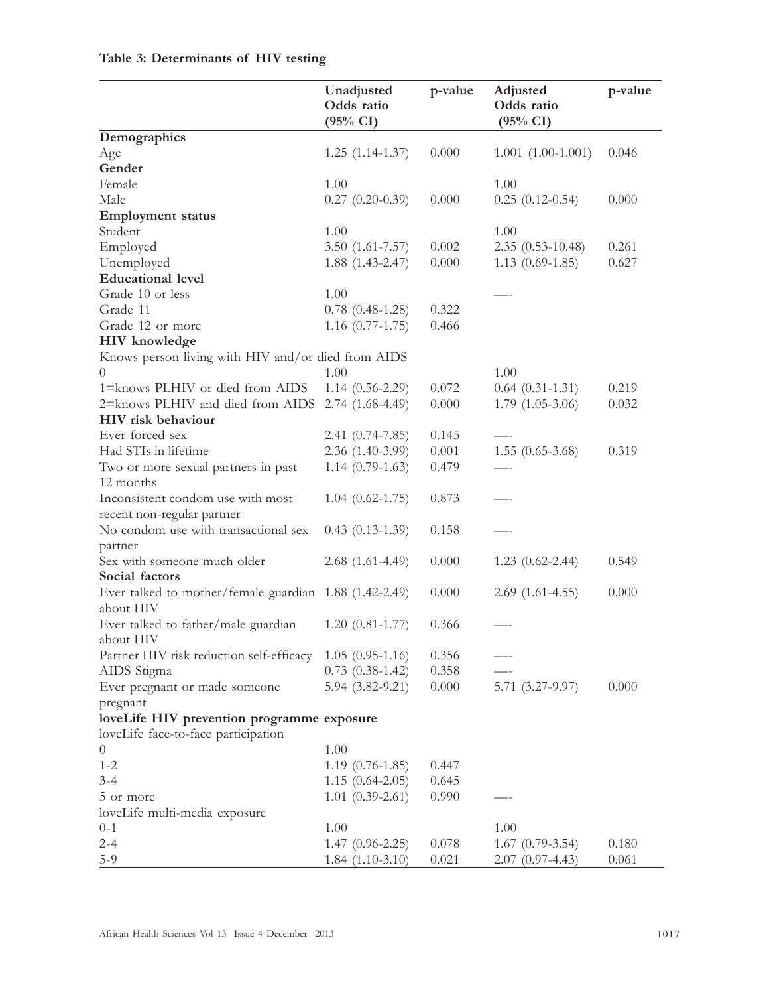## Table 3: Determinants of HIV testing

|                                                                     | Unadjusted<br>Odds ratio<br>$(95\% \text{ CI})$ | p-value | Adjusted<br>Odds ratio<br>$(95\% \text{ CI})$ | p-value |
|---------------------------------------------------------------------|-------------------------------------------------|---------|-----------------------------------------------|---------|
| Demographics                                                        |                                                 |         |                                               |         |
| Age                                                                 | $1.25(1.14-1.37)$                               | 0.000   | $1.001(1.00-1.001)$                           | 0.046   |
| Gender                                                              |                                                 |         |                                               |         |
| Female                                                              | 1.00                                            |         | 1.00                                          |         |
| Male                                                                | $0.27$ $(0.20-0.39)$                            | 0.000   | $0.25(0.12-0.54)$                             | 0.000   |
| <b>Employment status</b>                                            |                                                 |         |                                               |         |
| Student                                                             | 1.00                                            |         | 1.00                                          |         |
| Employed                                                            | $3.50(1.61 - 7.57)$                             | 0.002   | $2.35(0.53-10.48)$                            | 0.261   |
| Unemployed                                                          | $1.88(1.43-2.47)$                               | 0.000   | $1.13(0.69-1.85)$                             | 0.627   |
| <b>Educational level</b>                                            |                                                 |         |                                               |         |
| Grade 10 or less                                                    | 1.00                                            |         |                                               |         |
| Grade 11                                                            | $0.78$ $(0.48-1.28)$                            | 0.322   |                                               |         |
| Grade 12 or more                                                    | $1.16$ $(0.77-1.75)$                            | 0.466   |                                               |         |
| <b>HIV</b> knowledge                                                |                                                 |         |                                               |         |
| Knows person living with HIV and/or died from AIDS                  |                                                 |         |                                               |         |
| 0                                                                   | 1.00                                            |         | 1.00                                          |         |
| 1=knows PLHIV or died from AIDS                                     | $1.14(0.56 - 2.29)$                             | 0.072   | $0.64$ $(0.31 - 1.31)$                        | 0.219   |
| 2=knows PLHIV and died from AIDS                                    | $2.74(1.68-4.49)$                               | 0.000   | $1.79(1.05-3.06)$                             | 0.032   |
| HIV risk behaviour                                                  |                                                 |         |                                               |         |
| Ever forced sex                                                     | $2.41(0.74 - 7.85)$                             | 0.145   |                                               |         |
| Had STIs in lifetime                                                | $2.36(1.40-3.99)$                               | 0.001   | $1.55(0.65-3.68)$                             | 0.319   |
| Two or more sexual partners in past                                 | $1.14(0.79-1.63)$                               | 0.479   |                                               |         |
| 12 months                                                           |                                                 |         |                                               |         |
| Inconsistent condom use with most                                   | $1.04(0.62 - 1.75)$                             | 0.873   |                                               |         |
| recent non-regular partner                                          |                                                 |         |                                               |         |
| No condom use with transactional sex                                | $0.43$ $(0.13-1.39)$                            | 0.158   |                                               |         |
| partner                                                             |                                                 |         |                                               |         |
| Sex with someone much older                                         | $2.68(1.61-4.49)$                               | 0.000   | $1.23$ $(0.62 - 2.44)$                        | 0.549   |
| Social factors                                                      |                                                 |         |                                               |         |
| Ever talked to mother/female guardian 1.88 (1.42-2.49)<br>about HIV |                                                 | 0.000   | $2.69(1.61-4.55)$                             | 0.000   |
| Ever talked to father/male guardian                                 | $1.20(0.81-1.77)$                               | 0.366   |                                               |         |
| about HIV                                                           |                                                 |         |                                               |         |
| Partner HIV risk reduction self-efficacy                            | $1.05(0.95-1.16)$                               | 0.356   |                                               |         |
| AIDS Stigma                                                         | $0.73$ $(0.38-1.42)$                            | 0.358   |                                               |         |
| Ever pregnant or made someone<br>pregnant                           | $5.94(3.82 - 9.21)$                             | 0.000   | 5.71 (3.27-9.97)                              | 0.000   |
| loveLife HIV prevention programme exposure                          |                                                 |         |                                               |         |
| loveLife face-to-face participation                                 |                                                 |         |                                               |         |
| $\theta$                                                            | 1.00                                            |         |                                               |         |
| $1 - 2$                                                             | $1.19(0.76-1.85)$                               | 0.447   |                                               |         |
| $3 - 4$                                                             | $1.15(0.64-2.05)$                               | 0.645   |                                               |         |
| 5 or more                                                           | $1.01 (0.39 - 2.61)$                            | 0.990   |                                               |         |
| loveLife multi-media exposure                                       |                                                 |         |                                               |         |
| $0 - 1$                                                             | 1.00                                            |         | 1.00                                          |         |
| $2 - 4$                                                             | $1.47(0.96 - 2.25)$                             | 0.078   | $1.67$ $(0.79-3.54)$                          | 0.180   |
| $5-9$                                                               | $1.84(1.10-3.10)$                               | 0.021   | $2.07(0.97-4.43)$                             | 0.061   |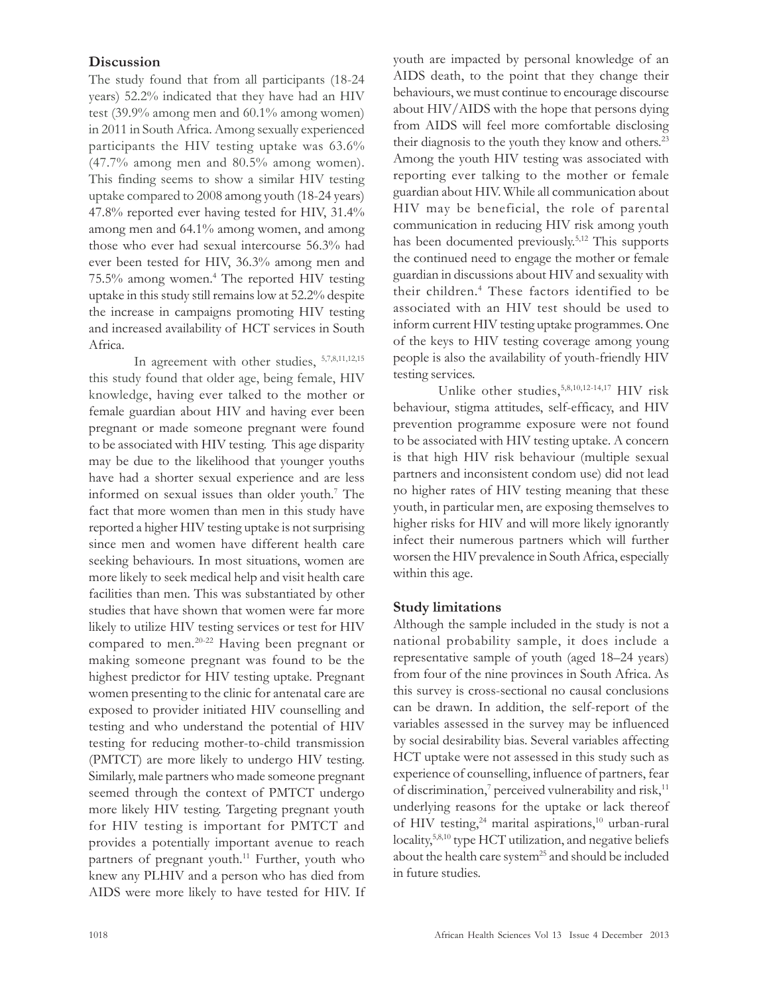## **Discussion**

The study found that from all participants (18-24 years) 52.2% indicated that they have had an HIV test (39.9% among men and 60.1% among women) in 2011 in South Africa. Among sexually experienced participants the HIV testing uptake was 63.6% (47.7% among men and 80.5% among women). This finding seems to show a similar HIV testing uptake compared to 2008 among youth (18-24 years) 47.8% reported ever having tested for HIV, 31.4% among men and 64.1% among women, and among those who ever had sexual intercourse 56.3% had ever been tested for HIV, 36.3% among men and 75.5% among women.<sup>4</sup> The reported HIV testing uptake in this study still remains low at 52.2% despite the increase in campaigns promoting HIV testing and increased availability of HCT services in South Africa.

In agreement with other studies, 5,7,8,11,12,15 this study found that older age, being female, HIV knowledge, having ever talked to the mother or female guardian about HIV and having ever been pregnant or made someone pregnant were found to be associated with HIV testing. This age disparity may be due to the likelihood that younger youths have had a shorter sexual experience and are less informed on sexual issues than older youth.<sup>7</sup> The fact that more women than men in this study have reported a higher HIV testing uptake is not surprising since men and women have different health care seeking behaviours. In most situations, women are more likely to seek medical help and visit health care facilities than men. This was substantiated by other studies that have shown that women were far more likely to utilize HIV testing services or test for HIV compared to men.20-22 Having been pregnant or making someone pregnant was found to be the highest predictor for HIV testing uptake. Pregnant women presenting to the clinic for antenatal care are exposed to provider initiated HIV counselling and testing and who understand the potential of HIV testing for reducing mother-to-child transmission (PMTCT) are more likely to undergo HIV testing. Similarly, male partners who made someone pregnant seemed through the context of PMTCT undergo more likely HIV testing. Targeting pregnant youth for HIV testing is important for PMTCT and provides a potentially important avenue to reach partners of pregnant youth.<sup>11</sup> Further, youth who knew any PLHIV and a person who has died from AIDS were more likely to have tested for HIV. If youth are impacted by personal knowledge of an AIDS death, to the point that they change their behaviours, we must continue to encourage discourse about HIV/AIDS with the hope that persons dying from AIDS will feel more comfortable disclosing their diagnosis to the youth they know and others.<sup>23</sup> Among the youth HIV testing was associated with reporting ever talking to the mother or female guardian about HIV. While all communication about HIV may be beneficial, the role of parental communication in reducing HIV risk among youth has been documented previously.<sup>5,12</sup> This supports the continued need to engage the mother or female guardian in discussions about HIV and sexuality with their children.<sup>4</sup> These factors identified to be associated with an HIV test should be used to inform current HIV testing uptake programmes. One of the keys to HIV testing coverage among young people is also the availability of youth-friendly HIV testing services.

Unlike other studies,5,8,10,12-14,17 HIV risk behaviour, stigma attitudes, self-efficacy, and HIV prevention programme exposure were not found to be associated with HIV testing uptake. A concern is that high HIV risk behaviour (multiple sexual partners and inconsistent condom use) did not lead no higher rates of HIV testing meaning that these youth, in particular men, are exposing themselves to higher risks for HIV and will more likely ignorantly infect their numerous partners which will further worsen the HIV prevalence in South Africa, especially within this age.

## Study limitations

Although the sample included in the study is not a national probability sample, it does include a representative sample of youth (aged 18–24 years) from four of the nine provinces in South Africa. As this survey is cross-sectional no causal conclusions can be drawn. In addition, the self-report of the variables assessed in the survey may be influenced by social desirability bias. Several variables affecting HCT uptake were not assessed in this study such as experience of counselling, influence of partners, fear of discrimination,<sup>7</sup> perceived vulnerability and risk,<sup>11</sup> underlying reasons for the uptake or lack thereof of HIV testing, $24$  marital aspirations, $10$  urban-rural locality, 5,8,10 type HCT utilization, and negative beliefs about the health care system<sup>25</sup> and should be included in future studies.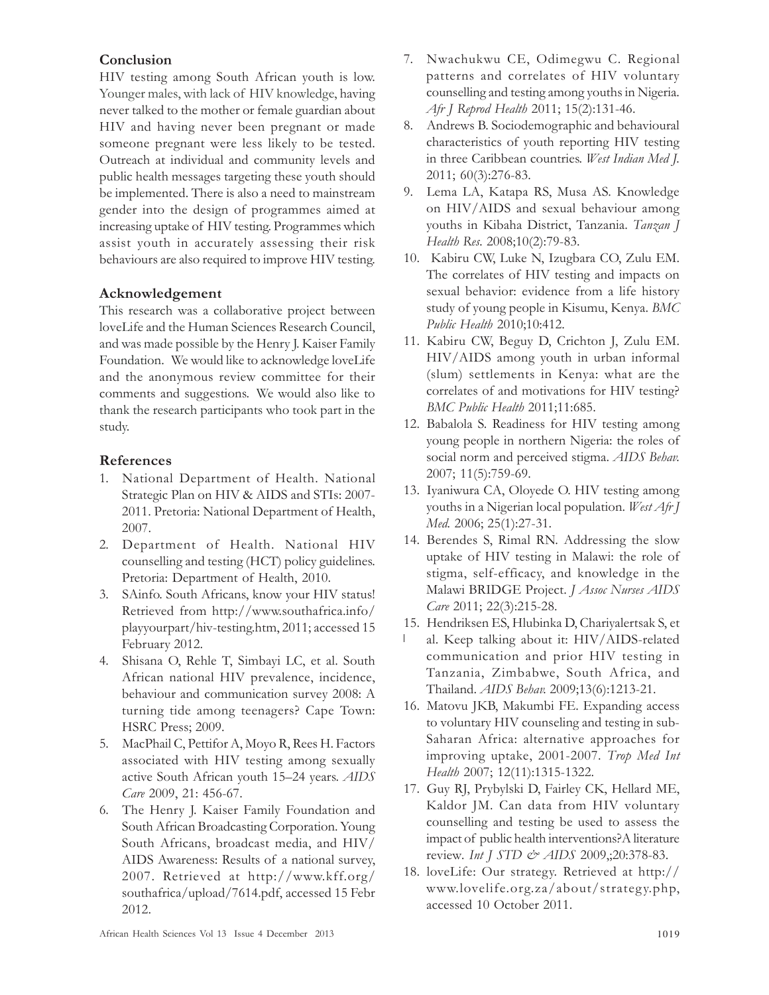## Conclusion

HIV testing among South African youth is low. Younger males, with lack of HIV knowledge, having never talked to the mother or female guardian about HIV and having never been pregnant or made someone pregnant were less likely to be tested. Outreach at individual and community levels and public health messages targeting these youth should be implemented. There is also a need to mainstream gender into the design of programmes aimed at increasing uptake of HIV testing. Programmes which assist youth in accurately assessing their risk behaviours are also required to improve HIV testing.

## Acknowledgement

This research was a collaborative project between loveLife and the Human Sciences Research Council, and was made possible by the Henry J. Kaiser Family Foundation. We would like to acknowledge loveLife and the anonymous review committee for their comments and suggestions. We would also like to thank the research participants who took part in the study.

## References

- 1. National Department of Health. National Strategic Plan on HIV & AIDS and STIs: 2007- 2011. Pretoria: National Department of Health, 2007.
- 2. Department of Health. National HIV counselling and testing (HCT) policy guidelines. Pretoria: Department of Health, 2010.
- 3. SAinfo. South Africans, know your HIV status! Retrieved from http://www.southafrica.info/ playyourpart/hiv-testing.htm, 2011; accessed 15 February 2012.
- 4. Shisana O, Rehle T, Simbayi LC, et al. South African national HIV prevalence, incidence, behaviour and communication survey 2008: A turning tide among teenagers? Cape Town: HSRC Press; 2009.
- 5. MacPhail C, Pettifor A, Moyo R, Rees H. Factors associated with HIV testing among sexually active South African youth 15–24 years. AIDS Care 2009, 21: 456-67.
- 6. The Henry J. Kaiser Family Foundation and South African Broadcasting Corporation. Young South Africans, broadcast media, and HIV/ AIDS Awareness: Results of a national survey, 2007. Retrieved at http://www.kff.org/ southafrica/upload/7614.pdf, accessed 15 Febr 2012.
- 7. Nwachukwu CE, Odimegwu C. Regional patterns and correlates of HIV voluntary counselling and testing among youths in Nigeria. Afr J Reprod Health 2011; 15(2):131-46.
- 8. Andrews B. Sociodemographic and behavioural characteristics of youth reporting HIV testing in three Caribbean countries. West Indian Med J. 2011; 60(3):276-83.
- 9. Lema LA, Katapa RS, Musa AS. Knowledge on HIV/AIDS and sexual behaviour among youths in Kibaha District, Tanzania. Tanzan J Health Res. 2008;10(2):79-83.
- 10. Kabiru CW, Luke N, Izugbara CO, Zulu EM. The correlates of HIV testing and impacts on sexual behavior: evidence from a life history study of young people in Kisumu, Kenya. BMC Public Health 2010;10:412.
- 11. Kabiru CW, Beguy D, Crichton J, Zulu EM. HIV/AIDS among youth in urban informal (slum) settlements in Kenya: what are the correlates of and motivations for HIV testing? BMC Public Health 2011;11:685.
- 12. Babalola S. Readiness for HIV testing among young people in northern Nigeria: the roles of social norm and perceived stigma. AIDS Behav. 2007; 11(5):759-69.
- 13. Iyaniwura CA, Oloyede O. HIV testing among youths in a Nigerian local population. West Afr J Med. 2006; 25(1):27-31.
- 14. Berendes S, Rimal RN. Addressing the slow uptake of HIV testing in Malawi: the role of stigma, self-efficacy, and knowledge in the Malawi BRIDGE Project. J Assoc Nurses AIDS Care 2011; 22(3):215-28.
- 15. Hendriksen ES, Hlubinka D, Chariyalertsak S, et
- al. Keep talking about it: HIV/AIDS-related  $\mathbf{L}$ communication and prior HIV testing in Tanzania, Zimbabwe, South Africa, and Thailand. AIDS Behav. 2009;13(6):1213-21.
- 16. Matovu JKB, Makumbi FE. Expanding access to voluntary HIV counseling and testing in sub-Saharan Africa: alternative approaches for improving uptake, 2001-2007. Trop Med Int Health 2007; 12(11):1315-1322.
- 17. Guy RJ, Prybylski D, Fairley CK, Hellard ME, Kaldor JM. Can data from HIV voluntary counselling and testing be used to assess the impact of public health interventions?A literature review. *Int J STD & AIDS* 2009,;20:378-83.
- 18. loveLife: Our strategy. Retrieved at http:// www.lovelife.org.za/about/strategy.php, accessed 10 October 2011.